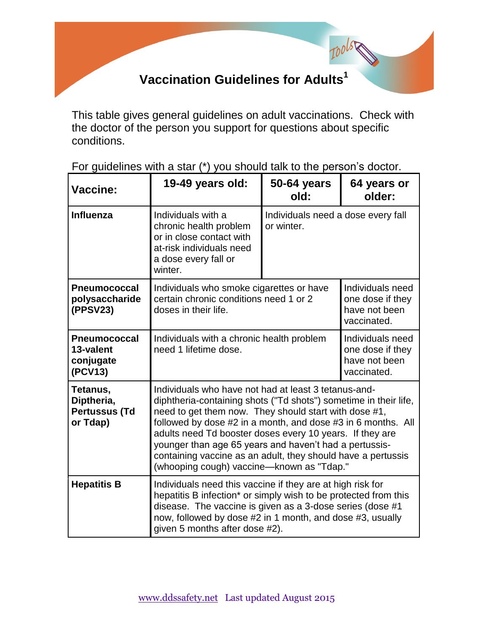## **Vaccination Guidelines for Adults<sup>1</sup>**

Tools

This table gives general guidelines on adult vaccinations. Check with the doctor of the person you support for questions about specific conditions.

| Vaccine:                                                   | 19-49 years old:                                                                                                                                                                                                                                                                                                                                                                                                                                                                     | 50-64 years<br>old:                              | 64 years or<br>older:                                                |
|------------------------------------------------------------|--------------------------------------------------------------------------------------------------------------------------------------------------------------------------------------------------------------------------------------------------------------------------------------------------------------------------------------------------------------------------------------------------------------------------------------------------------------------------------------|--------------------------------------------------|----------------------------------------------------------------------|
| Influenza                                                  | Individuals with a<br>chronic health problem<br>or in close contact with<br>at-risk individuals need<br>a dose every fall or<br>winter.                                                                                                                                                                                                                                                                                                                                              | Individuals need a dose every fall<br>or winter. |                                                                      |
| <b>Pneumococcal</b><br>polysaccharide<br>(PPSV23)          | Individuals who smoke cigarettes or have<br>certain chronic conditions need 1 or 2<br>doses in their life.                                                                                                                                                                                                                                                                                                                                                                           |                                                  | Individuals need<br>one dose if they<br>have not been<br>vaccinated. |
| <b>Pneumococcal</b><br>13-valent<br>conjugate<br>(PCV13)   | Individuals with a chronic health problem<br>need 1 lifetime dose.                                                                                                                                                                                                                                                                                                                                                                                                                   |                                                  | Individuals need<br>one dose if they<br>have not been<br>vaccinated. |
| Tetanus,<br>Diptheria,<br><b>Pertussus (Td</b><br>or Tdap) | Individuals who have not had at least 3 tetanus-and-<br>diphtheria-containing shots ("Td shots") sometime in their life,<br>need to get them now. They should start with dose #1,<br>followed by dose #2 in a month, and dose #3 in 6 months. All<br>adults need Td booster doses every 10 years. If they are<br>younger than age 65 years and haven't had a pertussis-<br>containing vaccine as an adult, they should have a pertussis<br>(whooping cough) vaccine-known as "Tdap." |                                                  |                                                                      |
| <b>Hepatitis B</b>                                         | Individuals need this vaccine if they are at high risk for<br>hepatitis B infection <sup>*</sup> or simply wish to be protected from this<br>disease. The vaccine is given as a 3-dose series (dose #1<br>now, followed by dose #2 in 1 month, and dose #3, usually<br>given 5 months after dose #2).                                                                                                                                                                                |                                                  |                                                                      |

For guidelines with a star (\*) you should talk to the person's doctor.